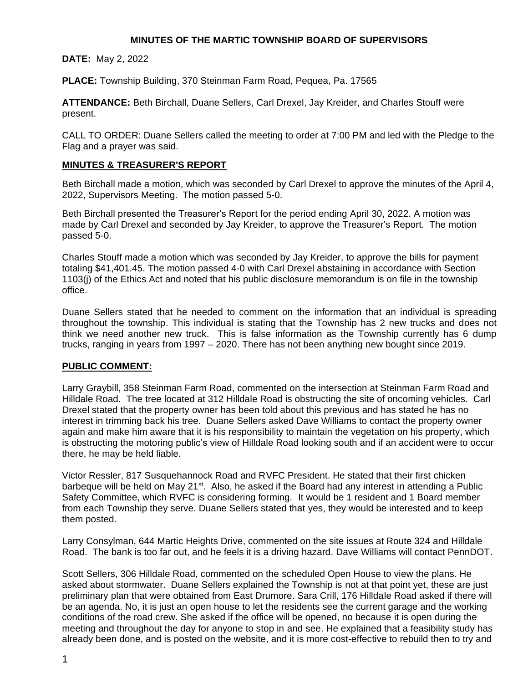## **MINUTES OF THE MARTIC TOWNSHIP BOARD OF SUPERVISORS**

**DATE:** May 2, 2022

**PLACE:** Township Building, 370 Steinman Farm Road, Pequea, Pa. 17565

**ATTENDANCE:** Beth Birchall, Duane Sellers, Carl Drexel, Jay Kreider, and Charles Stouff were present.

CALL TO ORDER: Duane Sellers called the meeting to order at 7:00 PM and led with the Pledge to the Flag and a prayer was said.

### **MINUTES & TREASURER'S REPORT**

Beth Birchall made a motion, which was seconded by Carl Drexel to approve the minutes of the April 4, 2022, Supervisors Meeting. The motion passed 5-0.

Beth Birchall presented the Treasurer's Report for the period ending April 30, 2022. A motion was made by Carl Drexel and seconded by Jay Kreider, to approve the Treasurer's Report. The motion passed 5-0.

Charles Stouff made a motion which was seconded by Jay Kreider, to approve the bills for payment totaling \$41,401.45. The motion passed 4-0 with Carl Drexel abstaining in accordance with Section 1103(j) of the Ethics Act and noted that his public disclosure memorandum is on file in the township office.

Duane Sellers stated that he needed to comment on the information that an individual is spreading throughout the township. This individual is stating that the Township has 2 new trucks and does not think we need another new truck. This is false information as the Township currently has 6 dump trucks, ranging in years from 1997 – 2020. There has not been anything new bought since 2019.

#### **PUBLIC COMMENT:**

Larry Graybill, 358 Steinman Farm Road, commented on the intersection at Steinman Farm Road and Hilldale Road. The tree located at 312 Hilldale Road is obstructing the site of oncoming vehicles. Carl Drexel stated that the property owner has been told about this previous and has stated he has no interest in trimming back his tree. Duane Sellers asked Dave Williams to contact the property owner again and make him aware that it is his responsibility to maintain the vegetation on his property, which is obstructing the motoring public's view of Hilldale Road looking south and if an accident were to occur there, he may be held liable.

Victor Ressler, 817 Susquehannock Road and RVFC President. He stated that their first chicken barbeque will be held on May 21<sup>st</sup>. Also, he asked if the Board had any interest in attending a Public Safety Committee, which RVFC is considering forming. It would be 1 resident and 1 Board member from each Township they serve. Duane Sellers stated that yes, they would be interested and to keep them posted.

Larry Consylman, 644 Martic Heights Drive, commented on the site issues at Route 324 and Hilldale Road. The bank is too far out, and he feels it is a driving hazard. Dave Williams will contact PennDOT.

Scott Sellers, 306 Hilldale Road, commented on the scheduled Open House to view the plans. He asked about stormwater. Duane Sellers explained the Township is not at that point yet, these are just preliminary plan that were obtained from East Drumore. Sara Crill, 176 Hilldale Road asked if there will be an agenda. No, it is just an open house to let the residents see the current garage and the working conditions of the road crew. She asked if the office will be opened, no because it is open during the meeting and throughout the day for anyone to stop in and see. He explained that a feasibility study has already been done, and is posted on the website, and it is more cost-effective to rebuild then to try and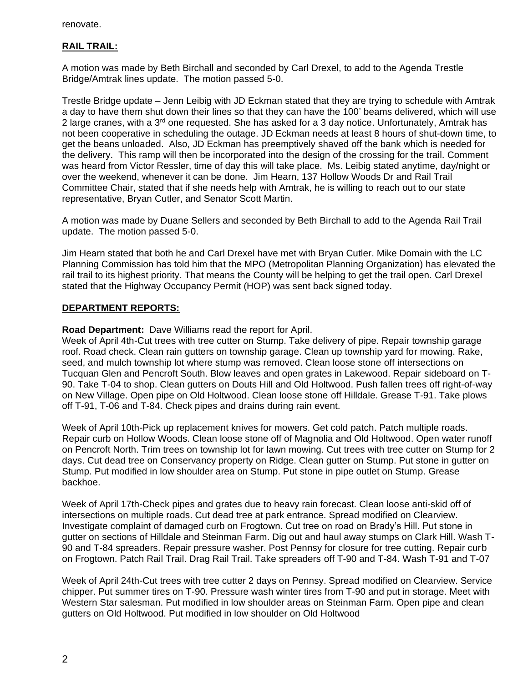renovate.

# **RAIL TRAIL:**

A motion was made by Beth Birchall and seconded by Carl Drexel, to add to the Agenda Trestle Bridge/Amtrak lines update. The motion passed 5-0.

Trestle Bridge update – Jenn Leibig with JD Eckman stated that they are trying to schedule with Amtrak a day to have them shut down their lines so that they can have the 100' beams delivered, which will use 2 large cranes, with a 3<sup>rd</sup> one requested. She has asked for a 3 day notice. Unfortunately, Amtrak has not been cooperative in scheduling the outage. JD Eckman needs at least 8 hours of shut-down time, to get the beans unloaded. Also, JD Eckman has preemptively shaved off the bank which is needed for the delivery. This ramp will then be incorporated into the design of the crossing for the trail. Comment was heard from Victor Ressler, time of day this will take place. Ms. Leibig stated anytime, day/night or over the weekend, whenever it can be done. Jim Hearn, 137 Hollow Woods Dr and Rail Trail Committee Chair, stated that if she needs help with Amtrak, he is willing to reach out to our state representative, Bryan Cutler, and Senator Scott Martin.

A motion was made by Duane Sellers and seconded by Beth Birchall to add to the Agenda Rail Trail update. The motion passed 5-0.

Jim Hearn stated that both he and Carl Drexel have met with Bryan Cutler. Mike Domain with the LC Planning Commission has told him that the MPO (Metropolitan Planning Organization) has elevated the rail trail to its highest priority. That means the County will be helping to get the trail open. Carl Drexel stated that the Highway Occupancy Permit (HOP) was sent back signed today.

## **DEPARTMENT REPORTS:**

**Road Department:** Dave Williams read the report for April.

Week of April 4th-Cut trees with tree cutter on Stump. Take delivery of pipe. Repair township garage roof. Road check. Clean rain gutters on township garage. Clean up township yard for mowing. Rake, seed, and mulch township lot where stump was removed. Clean loose stone off intersections on Tucquan Glen and Pencroft South. Blow leaves and open grates in Lakewood. Repair sideboard on T-90. Take T-04 to shop. Clean gutters on Douts Hill and Old Holtwood. Push fallen trees off right-of-way on New Village. Open pipe on Old Holtwood. Clean loose stone off Hilldale. Grease T-91. Take plows off T-91, T-06 and T-84. Check pipes and drains during rain event.

Week of April 10th-Pick up replacement knives for mowers. Get cold patch. Patch multiple roads. Repair curb on Hollow Woods. Clean loose stone off of Magnolia and Old Holtwood. Open water runoff on Pencroft North. Trim trees on township lot for lawn mowing. Cut trees with tree cutter on Stump for 2 days. Cut dead tree on Conservancy property on Ridge. Clean gutter on Stump. Put stone in gutter on Stump. Put modified in low shoulder area on Stump. Put stone in pipe outlet on Stump. Grease backhoe.

Week of April 17th-Check pipes and grates due to heavy rain forecast. Clean loose anti-skid off of intersections on multiple roads. Cut dead tree at park entrance. Spread modified on Clearview. Investigate complaint of damaged curb on Frogtown. Cut tree on road on Brady's Hill. Put stone in gutter on sections of Hilldale and Steinman Farm. Dig out and haul away stumps on Clark Hill. Wash T-90 and T-84 spreaders. Repair pressure washer. Post Pennsy for closure for tree cutting. Repair curb on Frogtown. Patch Rail Trail. Drag Rail Trail. Take spreaders off T-90 and T-84. Wash T-91 and T-07

Week of April 24th-Cut trees with tree cutter 2 days on Pennsy. Spread modified on Clearview. Service chipper. Put summer tires on T-90. Pressure wash winter tires from T-90 and put in storage. Meet with Western Star salesman. Put modified in low shoulder areas on Steinman Farm. Open pipe and clean gutters on Old Holtwood. Put modified in low shoulder on Old Holtwood